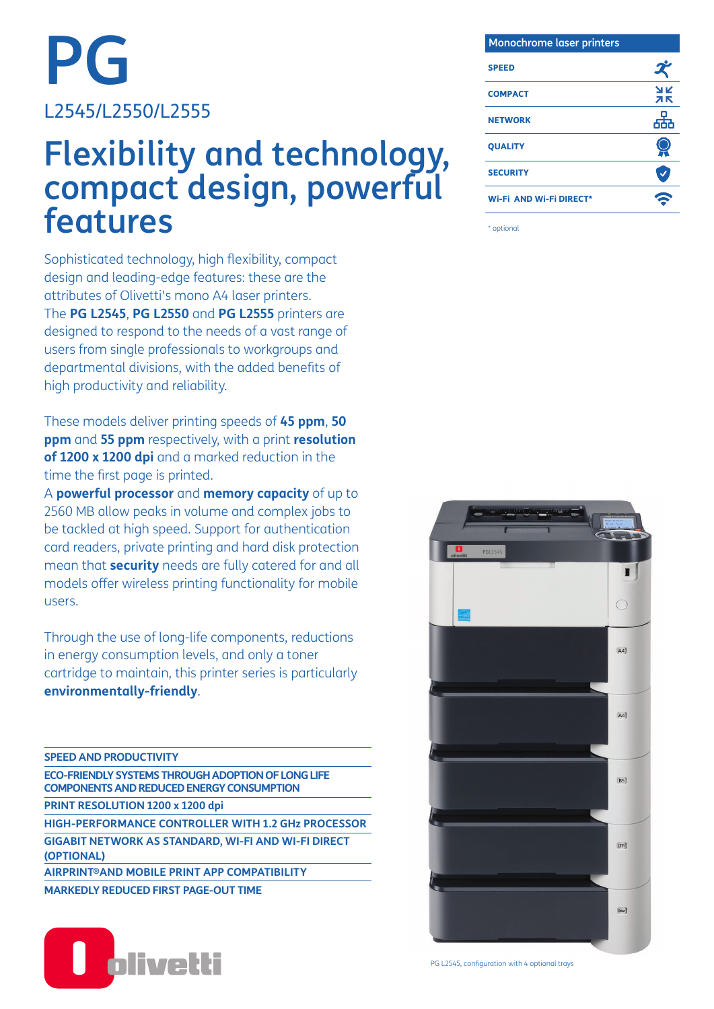PG L2545/L2550/L2555

## Flexibility and technology, compact design, powerful features

Sophisticated technology, high flexibility, compact design and leading-edge features: these are the attributes of Olivetti's mono A4 laser printers. The **PG L2545**, **PG L2550** and **PG L2555** printers are designed to respond to the needs of a vast range of users from single professionals to workgroups and departmental divisions, with the added benefits of high productivity and reliability.

These models deliver printing speeds of **45 ppm**, **50 ppm** and **55 ppm** respectively, with a print **resolution of 1200 x 1200 dpi** and a marked reduction in the time the first page is printed.

A **powerful processor** and **memory capacity** of up to 2560 MB allow peaks in volume and complex jobs to be tackled at high speed. Support for authentication card readers, private printing and hard disk protection mean that **security** needs are fully catered for and all models offer wireless printing functionality for mobile users.

Through the use of long-life components, reductions in energy consumption levels, and only a toner cartridge to maintain, this printer series is particularly **environmentally-friendly**.

| <b>SPEED AND PRODUCTIVITY</b>                                                                                 |
|---------------------------------------------------------------------------------------------------------------|
| <b>ECO-FRIENDLY SYSTEMS THROUGH ADOPTION OF LONG LIFE</b><br><b>COMPONENTS AND REDUCED ENERGY CONSUMPTION</b> |
| PRINT RESOLUTION 1200 x 1200 dpi                                                                              |
| <b>HIGH-PERFORMANCE CONTROLLER WITH 1.2 GHz PROCESSOR</b>                                                     |
| <b>GIGABIT NETWORK AS STANDARD, WI-FI AND WI-FI DIRECT</b><br>(OPTIONAL)                                      |
| AIRPRINT®AND MOBILE PRINT APP COMPATIBILITY                                                                   |
| <b>MARKEDLY REDUCED FIRST PAGE-OUT TIME</b>                                                                   |



| <b>Monochrome laser printers</b> |           |
|----------------------------------|-----------|
| <b>SPEED</b>                     |           |
| <b>COMPACT</b>                   | א ג<br>ЯΚ |
| <b>NETWORK</b>                   | 땊         |
| <b>QUALITY</b>                   |           |
| <b>SECURITY</b>                  |           |
| <b>Wi-Fi AND Wi-Fi DIRECT*</b>   |           |

\* optional



PG L2545, configuration with 4 optional trays